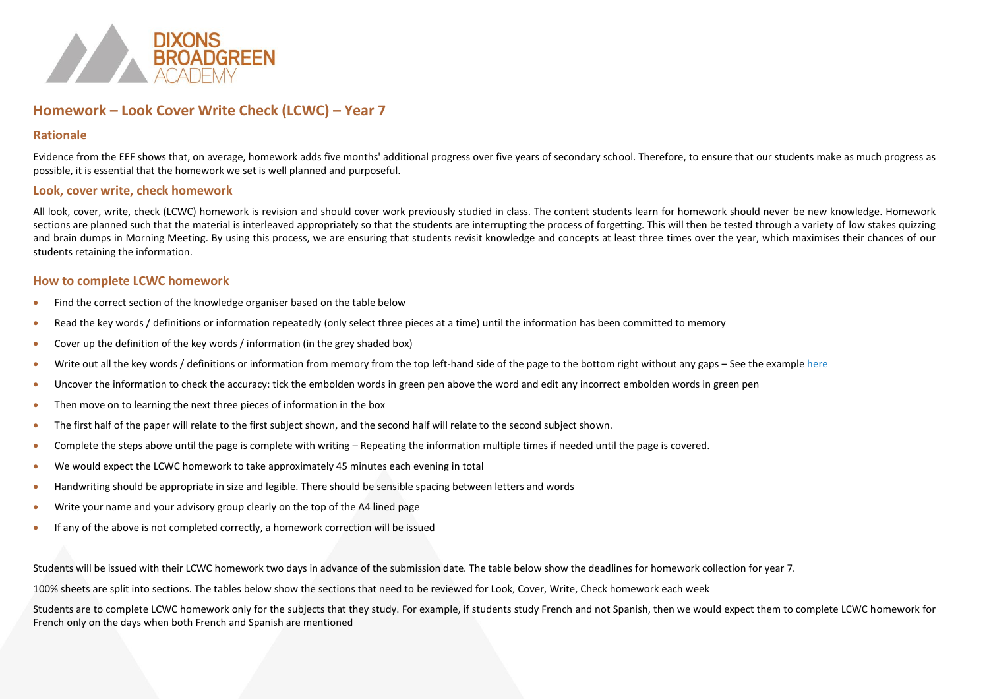

### **Homework – Look Cover Write Check (LCWC) – Year 7**

#### **Rationale**

Evidence from the EEF shows that, on average, homework adds five months' additional progress over five years of secondary school. Therefore, to ensure that our students make as much progress as possible, it is essential that the homework we set is well planned and purposeful.

#### **Look, cover write, check homework**

All look, cover, write, check (LCWC) homework is revision and should cover work previously studied in class. The content students learn for homework should never be new knowledge. Homework sections are planned such that the material is interleaved appropriately so that the students are interrupting the process of forgetting. This will then be tested through a variety of low stakes quizzing and brain dumps in Morning Meeting. By using this process, we are ensuring that students revisit knowledge and concepts at least three times over the year, which maximises their chances of our students retaining the information.

#### **How to complete LCWC homework**

- Find the correct section of the knowledge organiser based on the table below
- Read the key words / definitions or information repeatedly (only select three pieces at a time) until the information has been committed to memory
- Cover up the definition of the key words / information (in the grey shaded box)
- Write out all the key words / definitions or information from memory from the top left-hand side of the page to the bottom right without any gaps See the example here
- Uncover the information to check the accuracy: tick the embolden words in green pen above the word and edit any incorrect embolden words in green pen
- Then move on to learning the next three pieces of information in the box
- The first half of the paper will relate to the first subject shown, and the second half will relate to the second subject shown.
- Complete the steps above until the page is complete with writing Repeating the information multiple times if needed until the page is covered.
- We would expect the LCWC homework to take approximately 45 minutes each evening in total
- Handwriting should be appropriate in size and legible. There should be sensible spacing between letters and words
- Write your name and your advisory group clearly on the top of the A4 lined page
- If any of the above is not completed correctly, a homework correction will be issued

Students will be issued with their LCWC homework two days in advance of the submission date. The table below show the deadlines for homework collection for year 7.

100% sheets are split into sections. The tables below show the sections that need to be reviewed for Look, Cover, Write, Check homework each week

Students are to complete LCWC homework only for the subjects that they study. For example, if students study French and not Spanish, then we would expect them to complete LCWC homework for French only on the days when both French and Spanish are mentioned